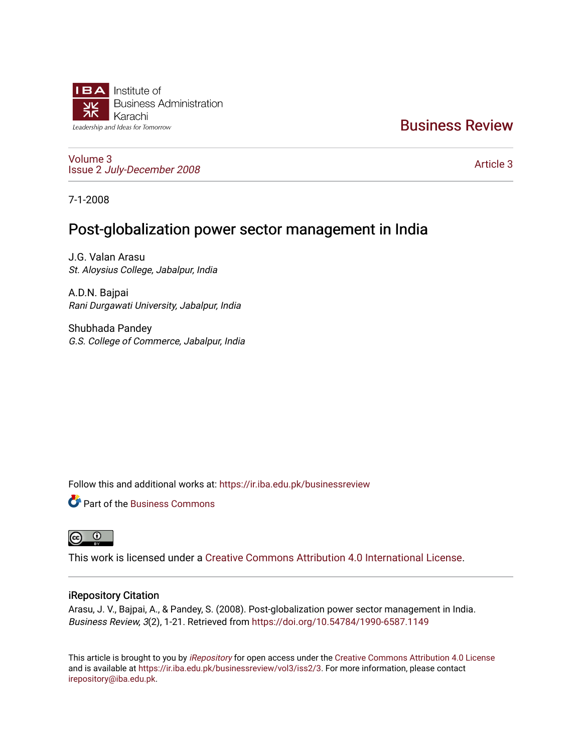

# [Business Review](https://ir.iba.edu.pk/businessreview)

[Volume 3](https://ir.iba.edu.pk/businessreview/vol3) Issue 2 [July-December 2008](https://ir.iba.edu.pk/businessreview/vol3/iss2)

[Article 3](https://ir.iba.edu.pk/businessreview/vol3/iss2/3) 

7-1-2008

# Post-globalization power sector management in India

J.G. Valan Arasu St. Aloysius College, Jabalpur, India

A.D.N. Bajpai Rani Durgawati University, Jabalpur, India

Shubhada Pandey G.S. College of Commerce, Jabalpur, India

Follow this and additional works at: [https://ir.iba.edu.pk/businessreview](https://ir.iba.edu.pk/businessreview?utm_source=ir.iba.edu.pk%2Fbusinessreview%2Fvol3%2Fiss2%2F3&utm_medium=PDF&utm_campaign=PDFCoverPages) 

**P** Part of the [Business Commons](http://network.bepress.com/hgg/discipline/622?utm_source=ir.iba.edu.pk%2Fbusinessreview%2Fvol3%2Fiss2%2F3&utm_medium=PDF&utm_campaign=PDFCoverPages)

<u>ේ</u>

This work is licensed under a [Creative Commons Attribution 4.0 International License](https://creativecommons.org/licenses/by/4.0/).

# iRepository Citation

Arasu, J. V., Bajpai, A., & Pandey, S. (2008). Post-globalization power sector management in India. Business Review, 3(2), 1-21. Retrieved from<https://doi.org/10.54784/1990-6587.1149>

This article is brought to you by [iRepository](https://ir.iba.edu.pk/) for open access under the Creative Commons Attribution 4.0 License and is available at [https://ir.iba.edu.pk/businessreview/vol3/iss2/3.](https://ir.iba.edu.pk/businessreview/vol3/iss2/3) For more information, please contact [irepository@iba.edu.pk.](mailto:irepository@iba.edu.pk)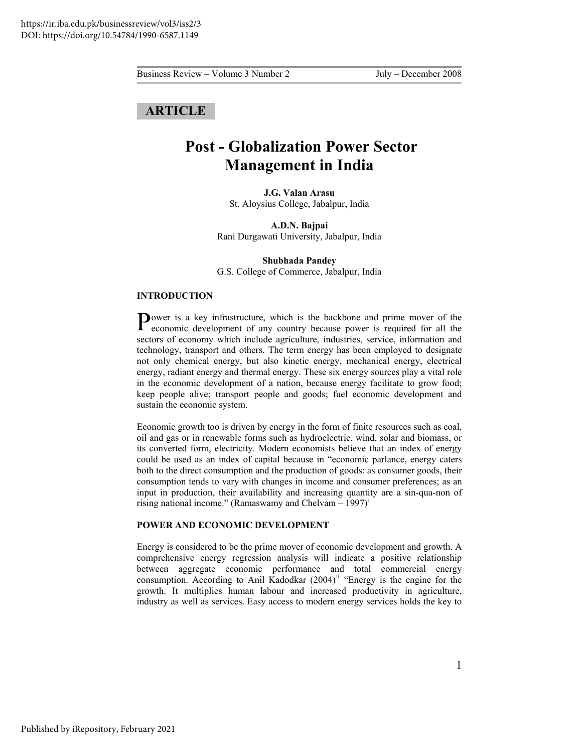# **ARTICLE**

# **Post - Globalization Power Sector Management in India**

**J.G. Valan Arasu**  St. Aloysius College, Jabalpur, India

**A.D.N. Bajpai**  Rani Durgawati University, Jabalpur, India

**Shubhada Pandey**  G.S. College of Commerce, Jabalpur, India

#### **INTRODUCTION**

ower is a key infrastructure, which is the backbone and prime mover of the Power is a key infrastructure, which is the backbone and prime mover of the economic development of any country because power is required for all the sectors of economy which include agriculture, industries, service, information and technology, transport and others. The term energy has been employed to designate not only chemical energy, but also kinetic energy, mechanical energy, electrical energy, radiant energy and thermal energy. These six energy sources play a vital role in the economic development of a nation, because energy facilitate to grow food; keep people alive; transport people and goods; fuel economic development and sustain the economic system.

Economic growth too is driven by energy in the form of finite resources such as coal, oil and gas or in renewable forms such as hydroelectric, wind, solar and biomass, or its converted form, electricity. Modern economists believe that an index of energy could be used as an index of capital because in "economic parlance, energy caters both to the direct consumption and the production of goods: as consumer goods, their consumption tends to vary with changes in income and consumer preferences; as an input in production, their availability and increasing quantity are a sin-qua-non of r[i](#page-20-0)sing national income." (Ramaswamy and Chelvam  $-1997$ )<sup>i</sup>

#### **POWER AND ECONOMIC DEVELOPMENT**

Energy is considered to be the prime mover of economic development and growth. A comprehensive energy regression analysis will indicate a positive relationship between aggregate economic performance and total commercial energy consumption. According to Anil Kadodkar (2004)<sup>[ii](#page-20-1)</sup> "Energy is the engine for the growth. It multiplies human labour and increased productivity in agriculture, industry as well as services. Easy access to modern energy services holds the key to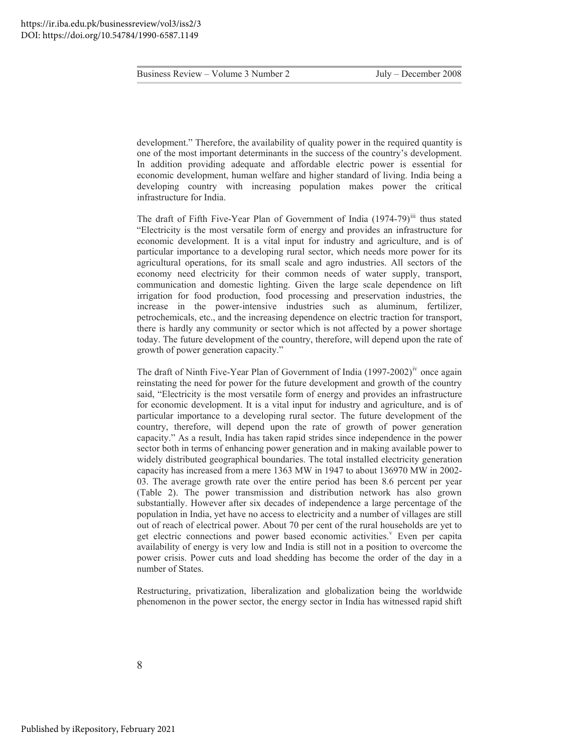development." Therefore, the availability of quality power in the required quantity is one of the most important determinants in the success of the country's development. In addition providing adequate and affordable electric power is essential for economic development, human welfare and higher standard of living. India being a developing country with increasing population makes power the critical infrastructure for India.

The draft of Fifth Five-Year Plan of Government of India  $(1974-79)^{iii}$  $(1974-79)^{iii}$  $(1974-79)^{iii}$  thus stated "Electricity is the most versatile form of energy and provides an infrastructure for economic development. It is a vital input for industry and agriculture, and is of particular importance to a developing rural sector, which needs more power for its agricultural operations, for its small scale and agro industries. All sectors of the economy need electricity for their common needs of water supply, transport, communication and domestic lighting. Given the large scale dependence on lift irrigation for food production, food processing and preservation industries, the increase in the power-intensive industries such as aluminum, fertilizer, petrochemicals, etc., and the increasing dependence on electric traction for transport, there is hardly any community or sector which is not affected by a power shortage today. The future development of the country, therefore, will depend upon the rate of growth of power generation capacity."

The draft of Ninth F[iv](#page-20-1)e-Year Plan of Government of India  $(1997-2002)^{iv}$  once again reinstating the need for power for the future development and growth of the country said, "Electricity is the most versatile form of energy and provides an infrastructure for economic development. It is a vital input for industry and agriculture, and is of particular importance to a developing rural sector. The future development of the country, therefore, will depend upon the rate of growth of power generation capacity." As a result, India has taken rapid strides since independence in the power sector both in terms of enhancing power generation and in making available power to widely distributed geographical boundaries. The total installed electricity generation capacity has increased from a mere 1363 MW in 1947 to about 136970 MW in 2002- 03. The average growth rate over the entire period has been 8.6 percent per year (Table 2). The power transmission and distribution network has also grown substantially. However after six decades of independence a large percentage of the population in India, yet have no access to electricity and a number of villages are still out of reach of electrical power. About 70 per cent of the rural households are yet to get electric connections and power based economic acti[v](#page-20-1)ities.<sup>V</sup> Even per capita availability of energy is very low and India is still not in a position to overcome the power crisis. Power cuts and load shedding has become the order of the day in a number of States.

Restructuring, privatization, liberalization and globalization being the worldwide phenomenon in the power sector, the energy sector in India has witnessed rapid shift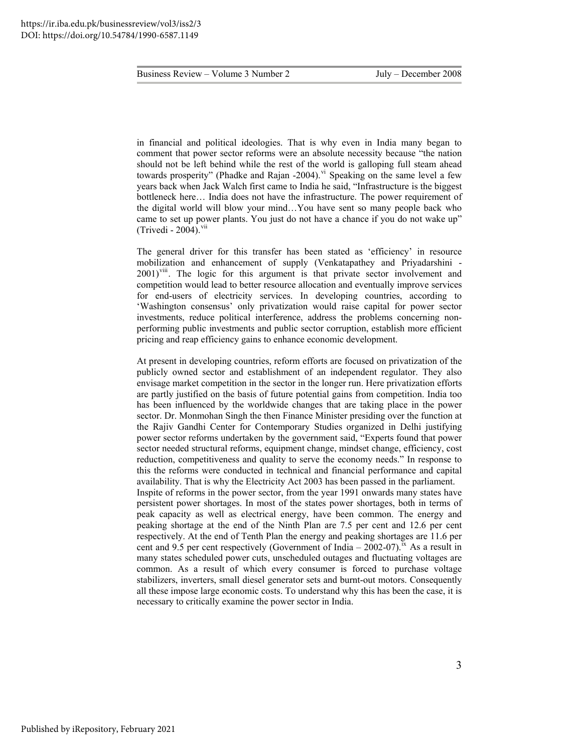in financial and political ideologies. That is why even in India many began to comment that power sector reforms were an absolute necessity because "the nation should not be left behind while the rest of the world is galloping full steam ahead towards prosperity" (Phadke and Rajan -2004).<sup>[vi](#page-20-1)</sup> Speaking on the same level a few years back when Jack Walch first came to India he said, "Infrastructure is the biggest bottleneck here… India does not have the infrastructure. The power requirement of the digital world will blow your mind…You have sent so many people back who came to set up power plants. You just do not have a chance if you do not wake up"  $(Trivedi - 2004)$ .<sup>[vii](#page-20-1)</sup>

The general driver for this transfer has been stated as 'efficiency' in resource mobilization and enhancement of supply (Venkatapathey and Priyadarshini -  $2001$ <sup>VIII</sup>. The logic for this argument is that private sector involvement and competition would lead to better resource allocation and eventually improve services for end-users of electricity services. In developing countries, according to 'Washington consensus' only privatization would raise capital for power sector investments, reduce political interference, address the problems concerning nonperforming public investments and public sector corruption, establish more efficient pricing and reap efficiency gains to enhance economic development.

At present in developing countries, reform efforts are focused on privatization of the publicly owned sector and establishment of an independent regulator. They also envisage market competition in the sector in the longer run. Here privatization efforts are partly justified on the basis of future potential gains from competition. India too has been influenced by the worldwide changes that are taking place in the power sector. Dr. Monmohan Singh the then Finance Minister presiding over the function at the Rajiv Gandhi Center for Contemporary Studies organized in Delhi justifying power sector reforms undertaken by the government said, "Experts found that power sector needed structural reforms, equipment change, mindset change, efficiency, cost reduction, competitiveness and quality to serve the economy needs." In response to this the reforms were conducted in technical and financial performance and capital availability. That is why the Electricity Act 2003 has been passed in the parliament. Inspite of reforms in the power sector, from the year 1991 onwards many states have persistent power shortages. In most of the states power shortages, both in terms of peak capacity as well as electrical energy, have been common. The energy and peaking shortage at the end of the Ninth Plan are 7.5 per cent and 12.6 per cent respectively. At the end of Tenth Plan the energy and peaking shortages are 11.6 per cent and 9.5 per cent respectively (Government of India – 2002-07).<sup>[ix](#page-20-1)</sup> As a result in many states scheduled power cuts, unscheduled outages and fluctuating voltages are common. As a result of which every consumer is forced to purchase voltage stabilizers, inverters, small diesel generator sets and burnt-out motors. Consequently all these impose large economic costs. To understand why this has been the case, it is necessary to critically examine the power sector in India.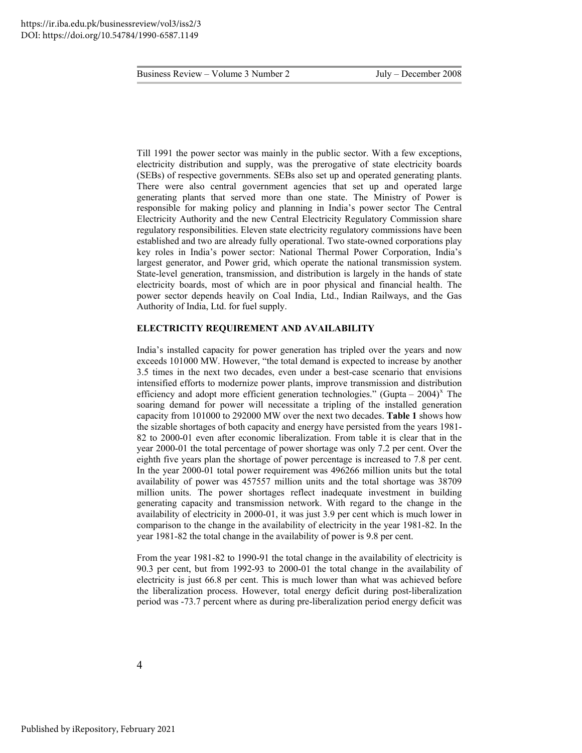Till 1991 the power sector was mainly in the public sector. With a few exceptions, electricity distribution and supply, was the prerogative of state electricity boards (SEBs) of respective governments. SEBs also set up and operated generating plants. There were also central government agencies that set up and operated large generating plants that served more than one state. The Ministry of Power is responsible for making policy and planning in India's power sector The Central Electricity Authority and the new Central Electricity Regulatory Commission share regulatory responsibilities. Eleven state electricity regulatory commissions have been established and two are already fully operational. Two state-owned corporations play key roles in India's power sector: National Thermal Power Corporation, India's largest generator, and Power grid, which operate the national transmission system. State-level generation, transmission, and distribution is largely in the hands of state electricity boards, most of which are in poor physical and financial health. The power sector depends heavily on Coal India, Ltd., Indian Railways, and the Gas Authority of India, Ltd. for fuel supply.

# **ELECTRICITY REQUIREMENT AND AVAILABILITY**

India's installed capacity for power generation has tripled over the years and now exceeds 101000 MW. However, "the total demand is expected to increase by another 3.5 times in the next two decades, even under a best-case scenario that envisions intensified efforts to modernize power plants, improve transmission and distribution efficiency and adopt more efficient generation technologies." (Gupta – 2004)<sup>[x](#page-20-1)</sup> The soaring demand for power will necessitate a tripling of the installed generation capacity from 101000 to 292000 MW over the next two decades. **Table 1** shows how the sizable shortages of both capacity and energy have persisted from the years 1981- 82 to 2000-01 even after economic liberalization. From table it is clear that in the year 2000-01 the total percentage of power shortage was only 7.2 per cent. Over the eighth five years plan the shortage of power percentage is increased to 7.8 per cent. In the year 2000-01 total power requirement was 496266 million units but the total availability of power was 457557 million units and the total shortage was 38709 million units. The power shortages reflect inadequate investment in building generating capacity and transmission network. With regard to the change in the availability of electricity in 2000-01, it was just 3.9 per cent which is much lower in comparison to the change in the availability of electricity in the year 1981-82. In the year 1981-82 the total change in the availability of power is 9.8 per cent.

From the year 1981-82 to 1990-91 the total change in the availability of electricity is 90.3 per cent, but from 1992-93 to 2000-01 the total change in the availability of electricity is just 66.8 per cent. This is much lower than what was achieved before the liberalization process. However, total energy deficit during post-liberalization period was -73.7 percent where as during pre-liberalization period energy deficit was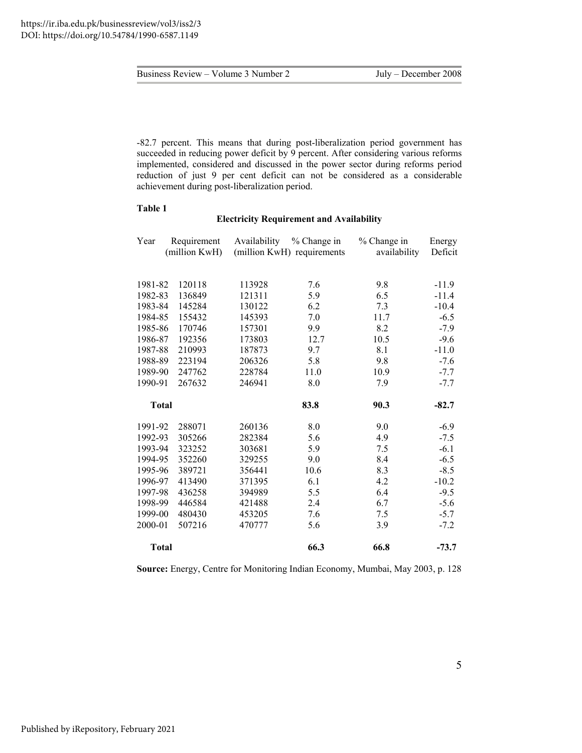| Business Review – Volume 3 Number 2 |
|-------------------------------------|
|-------------------------------------|

-82.7 percent. This means that during post-liberalization period government has succeeded in reducing power deficit by 9 percent. After considering various reforms implemented, considered and discussed in the power sector during reforms period reduction of just 9 per cent deficit can not be considered as a considerable achievement during post-liberalization period.

#### **Table 1**

# **Electricity Requirement and Availability**

| Year                    | Requirement<br>(million KwH) | Availability | % Change in<br>(million KwH) requirements | % Change in<br>availability | Energy<br>Deficit |
|-------------------------|------------------------------|--------------|-------------------------------------------|-----------------------------|-------------------|
| 1981-82                 | 120118                       | 113928       | 7.6                                       | 9.8                         | $-11.9$           |
| 1982-83                 | 136849                       | 121311       | 5.9                                       | 6.5                         | $-11.4$           |
| 1983-84                 | 145284                       | 130122       | 6.2                                       | 7.3                         | $-10.4$           |
| 1984-85                 | 155432                       | 145393       | 7.0                                       | 11.7                        | $-6.5$            |
| 1985-86                 | 170746                       | 157301       | 9.9                                       | 8.2                         | $-7.9$            |
| 1986-87                 | 192356                       | 173803       | 12.7                                      | 10.5                        | $-9.6$            |
| 1987-88                 | 210993                       | 187873       | 9.7                                       | 8.1                         | $-11.0$           |
| 1988-89                 | 223194                       | 206326       | 5.8                                       | 9.8                         | $-7.6$            |
| 1989-90                 | 247762                       | 228784       | 11.0                                      | 10.9                        | $-7.7$            |
| 1990-91<br><b>Total</b> | 267632                       | 246941       | 8.0<br>83.8                               | 7.9<br>90.3                 | $-7.7$<br>$-82.7$ |
| 1991-92                 | 288071                       | 260136       | 8.0                                       | 9.0                         | $-6.9$            |
| 1992-93                 | 305266                       | 282384       | 5.6                                       | 4.9                         | $-7.5$            |
| 1993-94                 | 323252                       | 303681       | 5.9                                       | 7.5                         | $-6.1$            |
| 1994-95                 | 352260                       | 329255       | 9.0                                       | 8.4                         | $-6.5$            |
| 1995-96                 | 389721                       | 356441       | 10.6                                      | 8.3                         | $-8.5$            |
| 1996-97                 | 413490                       | 371395       | 6.1                                       | 4.2                         | $-10.2$           |
| 1997-98                 | 436258                       | 394989       | 5.5                                       | 6.4                         | $-9.5$            |
| 1998-99                 | 446584                       | 421488       | 2.4                                       | 6.7                         | $-5.6$            |
| 1999-00                 | 480430                       | 453205       | 7.6                                       | 7.5                         | $-5.7$            |
| 2000-01                 | 507216                       | 470777       | 5.6                                       | 3.9                         | $-7.2$            |
| <b>Total</b>            |                              |              | 66.3                                      | 66.8                        | $-73.7$           |

**Source:** Energy, Centre for Monitoring Indian Economy, Mumbai, May 2003, p. 128

5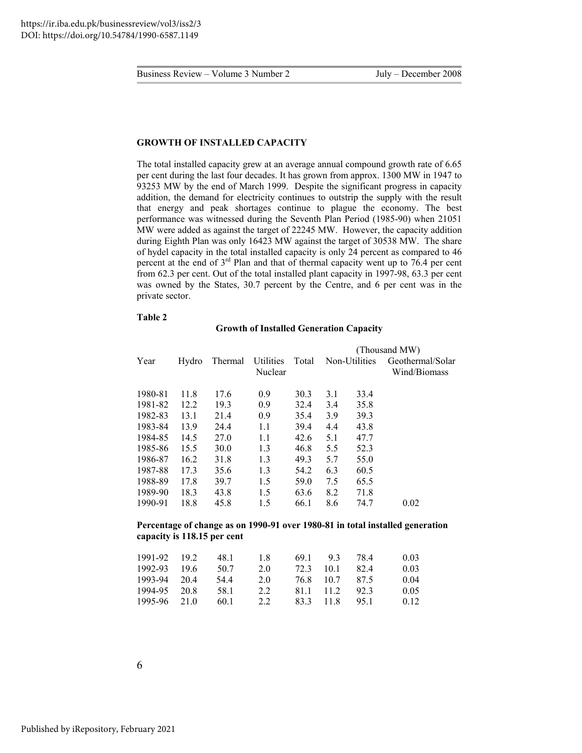#### **GROWTH OF INSTALLED CAPACITY**

The total installed capacity grew at an average annual compound growth rate of 6.65 per cent during the last four decades. It has grown from approx. 1300 MW in 1947 to 93253 MW by the end of March 1999. Despite the significant progress in capacity addition, the demand for electricity continues to outstrip the supply with the result that energy and peak shortages continue to plague the economy. The best performance was witnessed during the Seventh Plan Period (1985-90) when 21051 MW were added as against the target of 22245 MW. However, the capacity addition during Eighth Plan was only 16423 MW against the target of 30538 MW. The share of hydel capacity in the total installed capacity is only 24 percent as compared to 46 percent at the end of  $3<sup>rd</sup>$  Plan and that of thermal capacity went up to 76.4 per cent from 62.3 per cent. Out of the total installed plant capacity in 1997-98, 63.3 per cent was owned by the States, 30.7 percent by the Centre, and 6 per cent was in the private sector.

#### **Table 2**

#### **Growth of Installed Generation Capacity**

| Year    | Hydro | Thermal | Utilities | Total |     | Non-Utilities | (Thousand MW)<br>Geothermal/Solar |
|---------|-------|---------|-----------|-------|-----|---------------|-----------------------------------|
|         |       |         | Nuclear   |       |     |               | Wind/Biomass                      |
| 1980-81 | 11.8  | 17.6    | 0.9       | 30.3  | 3.1 | 33.4          |                                   |
| 1981-82 | 12.2  | 19.3    | 0.9       | 32.4  | 3.4 | 35.8          |                                   |
| 1982-83 | 13.1  | 21.4    | 0.9       | 35.4  | 3.9 | 39.3          |                                   |
| 1983-84 | 13.9  | 24.4    | 1.1       | 39.4  | 4.4 | 43.8          |                                   |
| 1984-85 | 14.5  | 27.0    | 1.1       | 42.6  | 5.1 | 47.7          |                                   |
| 1985-86 | 15.5  | 30.0    | 1.3       | 46.8  | 5.5 | 52.3          |                                   |
| 1986-87 | 16.2  | 31.8    | 1.3       | 49.3  | 5.7 | 55.0          |                                   |
| 1987-88 | 17.3  | 35.6    | 1.3       | 54.2  | 6.3 | 60.5          |                                   |
| 1988-89 | 17.8  | 39.7    | 1.5       | 59.0  | 7.5 | 65.5          |                                   |
| 1989-90 | 18.3  | 43.8    | 1.5       | 63.6  | 8.2 | 71.8          |                                   |
| 1990-91 | 18.8  | 45.8    | 1.5       | 66.1  | 8.6 | 74.7          | 0.02                              |

### **Percentage of change as on 1990-91 over 1980-81 in total installed generation capacity is 118.15 per cent**

| 1991-92 | - 192 | 48 1 | 1.8 | 69 1 | 93   | 784   | 0.03 |
|---------|-------|------|-----|------|------|-------|------|
| 1992-93 | 196   | 50.7 | 20  | 723  | 10-1 | 82.4  | 0.03 |
| 1993-94 | 204   | 544  | 2.0 | 76.8 | 10.7 | 87.5  | 0.04 |
| 1994-95 | 20.8  | 58 1 | 22  | 811  | 11.2 | 923   | 0.05 |
| 1995-96 | 21.0  | 60 I | 22  | 833  | 11 8 | 95. 1 | 0.12 |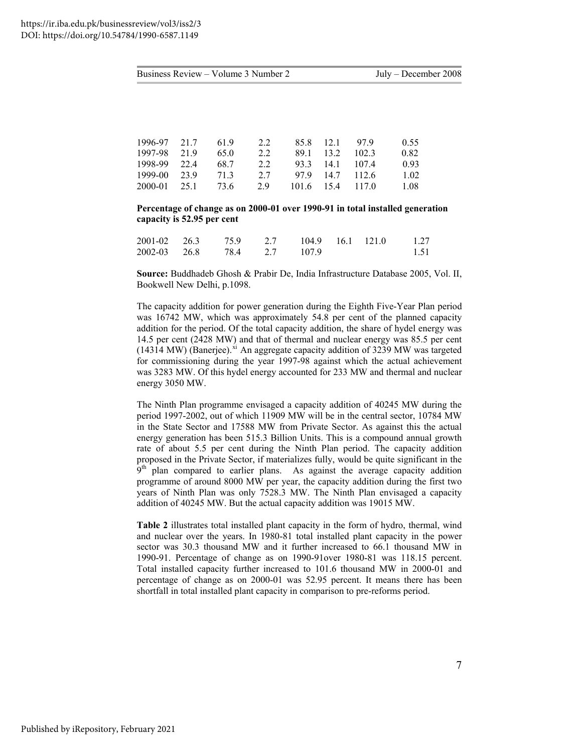| Business Review – Volume 3 Number 2 | July – December 2008 |
|-------------------------------------|----------------------|
|                                     |                      |

| 1996-97 217 |      | 619  | 22  | 858 121 |      | 979  | 0.55 |
|-------------|------|------|-----|---------|------|------|------|
| 1997-98     | 219  | 650  | 2.2 | 89.1    | 132  | 1023 | 0.82 |
| 1998-99     | 22.4 | 68.7 | 2.2 | 933 141 |      | 1074 | 0.93 |
| 1999-00     | 23.9 | 713  | 2.7 | 979     | 14.7 | 1126 | 1.02 |
| 2000-01     | 25.1 | 73.6 | 29  | 101.6   | 154  | 1170 | 1.08 |

## **Percentage of change as on 2000-01 over 1990-91 in total installed generation capacity is 52.95 per cent**

| 2001-02 26.3 75.9 2.7 104.9 16.1 121.0 |  |  |  | 1.27  |
|----------------------------------------|--|--|--|-------|
| 2002-03 26.8 78.4 2.7 107.9            |  |  |  | -1.51 |

**Source:** Buddhadeb Ghosh & Prabir De, India Infrastructure Database 2005, Vol. II, Bookwell New Delhi, p.1098.

The capacity addition for power generation during the Eighth Five-Year Plan period was 16742 MW, which was approximately 54.8 per cent of the planned capacity addition for the period. Of the total capacity addition, the share of hydel energy was 14.5 per cent (2428 MW) and that of thermal and nuclear energy was 85.5 per cent (14314 MW) (Banerjee).<sup>[xi](#page-20-1)</sup> An aggregate capacity addition of 3239 MW was targeted for commissioning during the year 1997-98 against which the actual achievement was 3283 MW. Of this hydel energy accounted for 233 MW and thermal and nuclear energy 3050 MW.

The Ninth Plan programme envisaged a capacity addition of 40245 MW during the period 1997-2002, out of which 11909 MW will be in the central sector, 10784 MW in the State Sector and 17588 MW from Private Sector. As against this the actual energy generation has been 515.3 Billion Units. This is a compound annual growth rate of about 5.5 per cent during the Ninth Plan period. The capacity addition proposed in the Private Sector, if materializes fully, would be quite significant in the  $9<sup>th</sup>$  plan compared to earlier plans. As against the average capacity addition programme of around 8000 MW per year, the capacity addition during the first two years of Ninth Plan was only 7528.3 MW. The Ninth Plan envisaged a capacity addition of 40245 MW. But the actual capacity addition was 19015 MW.

**Table 2** illustrates total installed plant capacity in the form of hydro, thermal, wind and nuclear over the years. In 1980-81 total installed plant capacity in the power sector was 30.3 thousand MW and it further increased to 66.1 thousand MW in 1990-91. Percentage of change as on 1990-91over 1980-81 was 118.15 percent. Total installed capacity further increased to 101.6 thousand MW in 2000-01 and percentage of change as on 2000-01 was 52.95 percent. It means there has been shortfall in total installed plant capacity in comparison to pre-reforms period.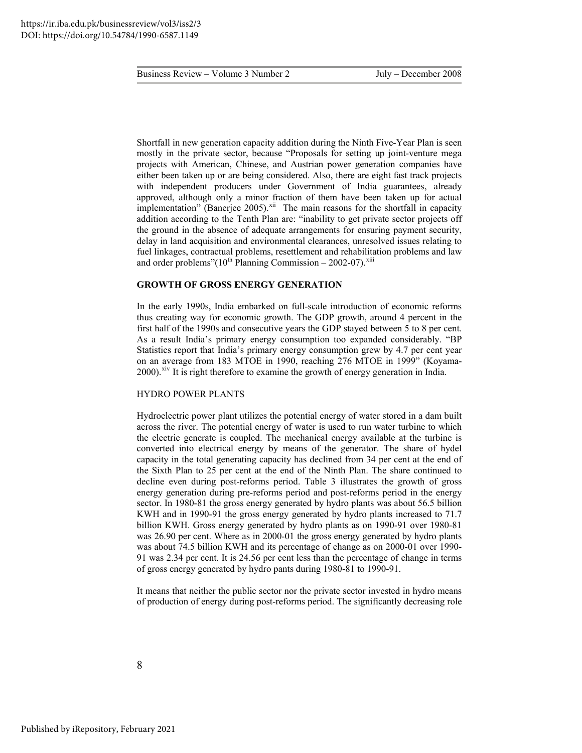Shortfall in new generation capacity addition during the Ninth Five-Year Plan is seen mostly in the private sector, because "Proposals for setting up joint-venture mega projects with American, Chinese, and Austrian power generation companies have either been taken up or are being considered. Also, there are eight fast track projects with independent producers under Government of India guarantees, already approved, although only a minor fraction of them have been taken up for actual implementation" (Banerjee 2005).<sup>[xii](#page-20-1)</sup> The main reasons for the shortfall in capacity addition according to the Tenth Plan are: "inability to get private sector projects off the ground in the absence of adequate arrangements for ensuring payment security, delay in land acquisition and environmental clearances, unresolved issues relating to fuel linkages, contractual problems, resettlement and rehabilitation problems and law and order problems" $(10^{th}$  Planning Commission – 2002-07).<sup>[xiii](#page-20-1)</sup>

#### **GROWTH OF GROSS ENERGY GENERATION**

In the early 1990s, India embarked on full-scale introduction of economic reforms thus creating way for economic growth. The GDP growth, around 4 percent in the first half of the 1990s and consecutive years the GDP stayed between 5 to 8 per cent. As a result India's primary energy consumption too expanded considerably. "BP Statistics report that India's primary energy consumption grew by 4.7 per cent year on an average from 183 MTOE in 1990, reaching 276 MTOE in 1999" (Koyama-2000).<sup>XIV</sup> It is right therefore to examine the growth of energy generation in India.

#### HYDRO POWER PLANTS

Hydroelectric power plant utilizes the potential energy of water stored in a dam built across the river. The potential energy of water is used to run water turbine to which the electric generate is coupled. The mechanical energy available at the turbine is converted into electrical energy by means of the generator. The share of hydel capacity in the total generating capacity has declined from 34 per cent at the end of the Sixth Plan to 25 per cent at the end of the Ninth Plan. The share continued to decline even during post-reforms period. Table 3 illustrates the growth of gross energy generation during pre-reforms period and post-reforms period in the energy sector. In 1980-81 the gross energy generated by hydro plants was about 56.5 billion KWH and in 1990-91 the gross energy generated by hydro plants increased to 71.7 billion KWH. Gross energy generated by hydro plants as on 1990-91 over 1980-81 was 26.90 per cent. Where as in 2000-01 the gross energy generated by hydro plants was about 74.5 billion KWH and its percentage of change as on 2000-01 over 1990- 91 was 2.34 per cent. It is 24.56 per cent less than the percentage of change in terms of gross energy generated by hydro pants during 1980-81 to 1990-91.

It means that neither the public sector nor the private sector invested in hydro means of production of energy during post-reforms period. The significantly decreasing role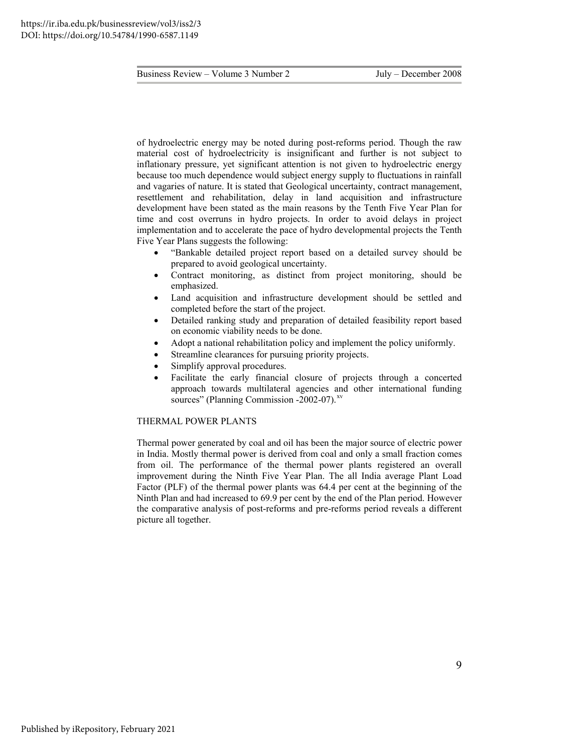of hydroelectric energy may be noted during post-reforms period. Though the raw material cost of hydroelectricity is insignificant and further is not subject to inflationary pressure, yet significant attention is not given to hydroelectric energy because too much dependence would subject energy supply to fluctuations in rainfall and vagaries of nature. It is stated that Geological uncertainty, contract management, resettlement and rehabilitation, delay in land acquisition and infrastructure development have been stated as the main reasons by the Tenth Five Year Plan for time and cost overruns in hydro projects. In order to avoid delays in project implementation and to accelerate the pace of hydro developmental projects the Tenth Five Year Plans suggests the following:

- "Bankable detailed project report based on a detailed survey should be prepared to avoid geological uncertainty.
- Contract monitoring, as distinct from project monitoring, should be emphasized.
- Land acquisition and infrastructure development should be settled and completed before the start of the project.
- Detailed ranking study and preparation of detailed feasibility report based on economic viability needs to be done.
- Adopt a national rehabilitation policy and implement the policy uniformly.
- Streamline clearances for pursuing priority projects.
- Simplify approval procedures.
- Facilitate the early financial closure of projects through a concerted approach towards multilateral agencies and other international funding sources" (Planning Commission -2002-07).<sup>[xv](#page-20-1)</sup>

#### THERMAL POWER PLANTS

Thermal power generated by coal and oil has been the major source of electric power in India. Mostly thermal power is derived from coal and only a small fraction comes from oil. The performance of the thermal power plants registered an overall improvement during the Ninth Five Year Plan. The all India average Plant Load Factor (PLF) of the thermal power plants was 64.4 per cent at the beginning of the Ninth Plan and had increased to 69.9 per cent by the end of the Plan period. However the comparative analysis of post-reforms and pre-reforms period reveals a different picture all together.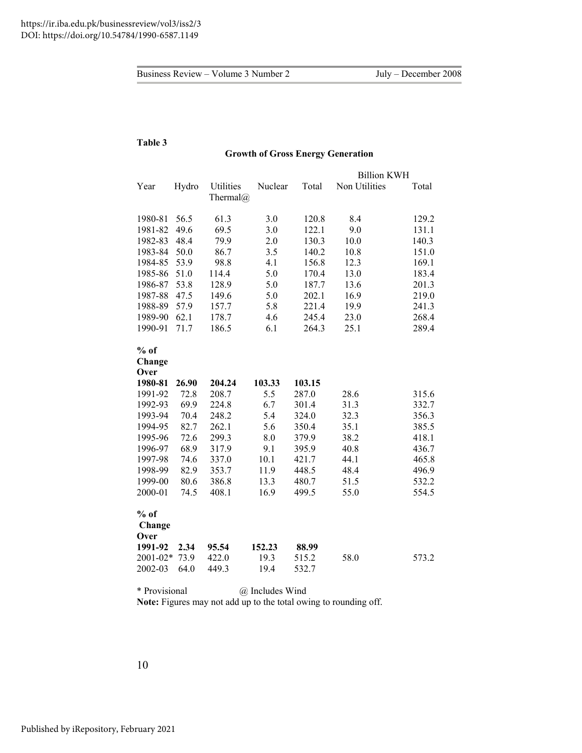# **Table 3**

# **Growth of Gross Energy Generation**

|                    |              |                            |            |                | <b>Billion KWH</b> |                |
|--------------------|--------------|----------------------------|------------|----------------|--------------------|----------------|
| Year               | Hydro        | Utilities<br>Thermal $(a)$ | Nuclear    | Total          | Non Utilities      | Total          |
| 1980-81            | 56.5         | 61.3                       | 3.0        | 120.8          | 8.4                | 129.2          |
| 1981-82            | 49.6         | 69.5                       | 3.0        | 122.1          | 9.0                | 131.1          |
| 1982-83            | 48.4         | 79.9                       | 2.0        | 130.3          | 10.0               | 140.3          |
| 1983-84            | 50.0         | 86.7                       | 3.5        | 140.2          | 10.8               | 151.0          |
| 1984-85            | 53.9         | 98.8                       | 4.1        | 156.8          | 12.3               | 169.1          |
| 1985-86            | 51.0         | 114.4                      | 5.0        | 170.4          | 13.0               | 183.4          |
| 1986-87            | 53.8         | 128.9                      | 5.0        | 187.7          | 13.6               | 201.3          |
| 1987-88            | 47.5         | 149.6                      | 5.0        | 202.1          | 16.9               | 219.0          |
| 1988-89            | 57.9         | 157.7                      | 5.8        | 221.4          | 19.9               | 241.3          |
| 1989-90            | 62.1         | 178.7                      | 4.6        | 245.4          | 23.0               | 268.4          |
| 1990-91            | 71.7         | 186.5                      | 6.1        | 264.3          | 25.1               | 289.4          |
| $%$ of             |              |                            |            |                |                    |                |
| Change             |              |                            |            |                |                    |                |
| Over               |              |                            |            |                |                    |                |
| 1980-81            | 26.90        | 204.24                     | 103.33     | 103.15         |                    |                |
| 1991-92            | 72.8         | 208.7                      | 5.5        | 287.0          | 28.6               | 315.6          |
| 1992-93            | 69.9         | 224.8                      | 6.7        | 301.4          | 31.3               | 332.7          |
| 1993-94            | 70.4         | 248.2                      | 5.4        | 324.0          | 32.3               | 356.3          |
| 1994-95            | 82.7         | 262.1                      | 5.6<br>8.0 | 350.4          | 35.1<br>38.2       | 385.5          |
| 1995-96            | 72.6<br>68.9 | 299.3                      | 9.1        | 379.9          |                    | 418.1          |
| 1996-97<br>1997-98 | 74.6         | 317.9<br>337.0             | 10.1       | 395.9<br>421.7 | 40.8<br>44.1       | 436.7<br>465.8 |
| 1998-99            | 82.9         | 353.7                      | 11.9       | 448.5          | 48.4               | 496.9          |
| 1999-00            | 80.6         | 386.8                      | 13.3       | 480.7          | 51.5               | 532.2          |
| 2000-01            | 74.5         | 408.1                      | 16.9       | 499.5          | 55.0               | 554.5          |
|                    |              |                            |            |                |                    |                |
| $%$ of             |              |                            |            |                |                    |                |
| Change<br>Over     |              |                            |            |                |                    |                |
| 1991-92            | 2.34         | 95.54                      | 152.23     | 88.99          |                    |                |
| 2001-02*           | 73.9         | 422.0                      | 19.3       | 515.2          | 58.0               | 573.2          |
| 2002-03            | 64.0         | 449.3                      | 19.4       | 532.7          |                    |                |

\* Provisional @ Includes Wind **Note:** Figures may not add up to the total owing to rounding off.

10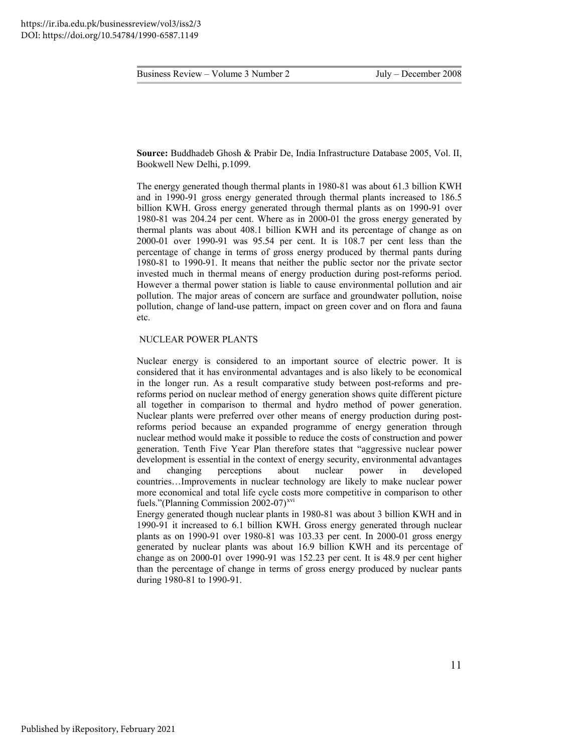**Source:** Buddhadeb Ghosh & Prabir De, India Infrastructure Database 2005, Vol. II, Bookwell New Delhi, p.1099.

The energy generated though thermal plants in 1980-81 was about 61.3 billion KWH and in 1990-91 gross energy generated through thermal plants increased to 186.5 billion KWH. Gross energy generated through thermal plants as on 1990-91 over 1980-81 was 204.24 per cent. Where as in 2000-01 the gross energy generated by thermal plants was about 408.1 billion KWH and its percentage of change as on 2000-01 over 1990-91 was 95.54 per cent. It is 108.7 per cent less than the percentage of change in terms of gross energy produced by thermal pants during 1980-81 to 1990-91. It means that neither the public sector nor the private sector invested much in thermal means of energy production during post-reforms period. However a thermal power station is liable to cause environmental pollution and air pollution. The major areas of concern are surface and groundwater pollution, noise pollution, change of land-use pattern, impact on green cover and on flora and fauna etc.

### NUCLEAR POWER PLANTS

Nuclear energy is considered to an important source of electric power. It is considered that it has environmental advantages and is also likely to be economical in the longer run. As a result comparative study between post-reforms and prereforms period on nuclear method of energy generation shows quite different picture all together in comparison to thermal and hydro method of power generation. Nuclear plants were preferred over other means of energy production during postreforms period because an expanded programme of energy generation through nuclear method would make it possible to reduce the costs of construction and power generation. Tenth Five Year Plan therefore states that "aggressive nuclear power development is essential in the context of energy security, environmental advantages and changing perceptions about nuclear power in developed countries…Improvements in nuclear technology are likely to make nuclear power more economical and total life cycle costs more competitive in comparison to other fuels."(Planning Commission  $2002-07$ )<sup>[xvi](#page-20-1)</sup>

Energy generated though nuclear plants in 1980-81 was about 3 billion KWH and in 1990-91 it increased to 6.1 billion KWH. Gross energy generated through nuclear plants as on 1990-91 over 1980-81 was 103.33 per cent. In 2000-01 gross energy generated by nuclear plants was about 16.9 billion KWH and its percentage of change as on 2000-01 over 1990-91 was 152.23 per cent. It is 48.9 per cent higher than the percentage of change in terms of gross energy produced by nuclear pants during 1980-81 to 1990-91.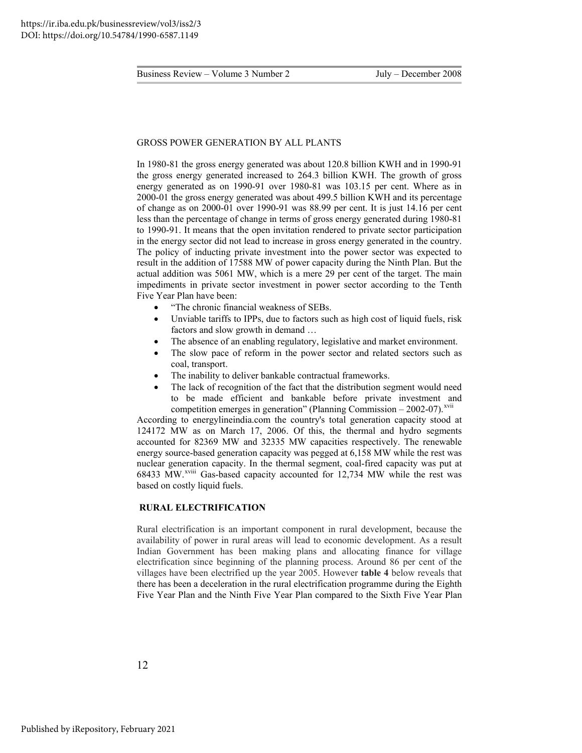#### GROSS POWER GENERATION BY ALL PLANTS

In 1980-81 the gross energy generated was about 120.8 billion KWH and in 1990-91 the gross energy generated increased to 264.3 billion KWH. The growth of gross energy generated as on 1990-91 over 1980-81 was 103.15 per cent. Where as in 2000-01 the gross energy generated was about 499.5 billion KWH and its percentage of change as on 2000-01 over 1990-91 was 88.99 per cent. It is just 14.16 per cent less than the percentage of change in terms of gross energy generated during 1980-81 to 1990-91. It means that the open invitation rendered to private sector participation in the energy sector did not lead to increase in gross energy generated in the country. The policy of inducting private investment into the power sector was expected to result in the addition of 17588 MW of power capacity during the Ninth Plan. But the actual addition was 5061 MW, which is a mere 29 per cent of the target. The main impediments in private sector investment in power sector according to the Tenth Five Year Plan have been:

- "The chronic financial weakness of SEBs.
- Unviable tariffs to IPPs, due to factors such as high cost of liquid fuels, risk factors and slow growth in demand …
- The absence of an enabling regulatory, legislative and market environment.
- The slow pace of reform in the power sector and related sectors such as coal, transport.
- The inability to deliver bankable contractual frameworks.
- The lack of recognition of the fact that the distribution segment would need to be made efficient and bankable before private investment and competition emerges in generation" (Planning Commission  $-2002-07$ ).<sup>[xvii](#page-20-1)</sup>

According to energylineindia.com the country's total generation capacity stood at 124172 MW as on March 17, 2006. Of this, the thermal and hydro segments accounted for 82369 MW and 32335 MW capacities respectively. The renewable energy source-based generation capacity was pegged at 6,158 MW while the rest was nuclear generation capacity. In the thermal segment, coal-fired capacity was put at 68433 MW.[xviii](#page-20-1) Gas-based capacity accounted for 12,734 MW while the rest was based on costly liquid fuels.

## **RURAL ELECTRIFICATION**

Rural electrification is an important component in rural development, because the availability of power in rural areas will lead to economic development. As a result Indian Government has been making plans and allocating finance for village electrification since beginning of the planning process. Around 86 per cent of the villages have been electrified up the year 2005. However **table 4** below reveals that there has been a deceleration in the rural electrification programme during the Eighth Five Year Plan and the Ninth Five Year Plan compared to the Sixth Five Year Plan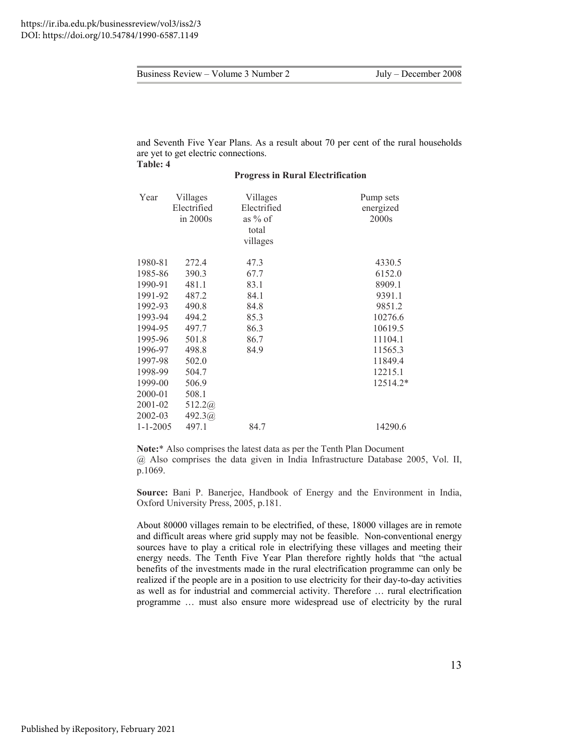and Seventh Five Year Plans. As a result about 70 per cent of the rural households are yet to get electric connections. **Table: 4** 

| Year           | Villages<br>Electrified<br>in 2000s | Villages<br>Electrified<br>as $%$ of<br>total<br>villages | Pump sets<br>energized<br>2000s |
|----------------|-------------------------------------|-----------------------------------------------------------|---------------------------------|
| 1980-81        | 272.4                               | 47.3                                                      | 4330.5                          |
| 1985-86        | 390.3                               | 67.7                                                      | 6152.0                          |
| 1990-91        | 481.1                               | 83.1                                                      | 8909.1                          |
| 1991-92        | 487.2                               | 84.1                                                      | 9391.1                          |
| 1992-93        | 490.8                               | 84.8                                                      | 9851.2                          |
| 1993-94        | 494.2                               | 85.3                                                      | 10276.6                         |
| 1994-95        | 497.7                               | 86.3                                                      | 10619.5                         |
| 1995-96        | 501.8                               | 86.7                                                      | 11104.1                         |
| 1996-97        | 498.8                               | 84.9                                                      | 11565.3                         |
| 1997-98        | 502.0                               |                                                           | 11849.4                         |
| 1998-99        | 504.7                               |                                                           | 12215.1                         |
| 1999-00        | 506.9                               |                                                           | 12514.2*                        |
| 2000-01        | 508.1                               |                                                           |                                 |
| 2001-02        | 512.2(a)                            |                                                           |                                 |
| 2002-03        | 492.3(a)                            |                                                           |                                 |
| $1 - 1 - 2005$ | 497.1                               | 84.7                                                      | 14290.6                         |

#### **Progress in Rural Electrification**

**Note:**\* Also comprises the latest data as per the Tenth Plan Document @ Also comprises the data given in India Infrastructure Database 2005, Vol. II, p.1069.

**Source:** Bani P. Banerjee, Handbook of Energy and the Environment in India, Oxford University Press, 2005, p.181.

About 80000 villages remain to be electrified, of these, 18000 villages are in remote and difficult areas where grid supply may not be feasible. Non-conventional energy sources have to play a critical role in electrifying these villages and meeting their energy needs. The Tenth Five Year Plan therefore rightly holds that "the actual benefits of the investments made in the rural electrification programme can only be realized if the people are in a position to use electricity for their day-to-day activities as well as for industrial and commercial activity. Therefore … rural electrification programme … must also ensure more widespread use of electricity by the rural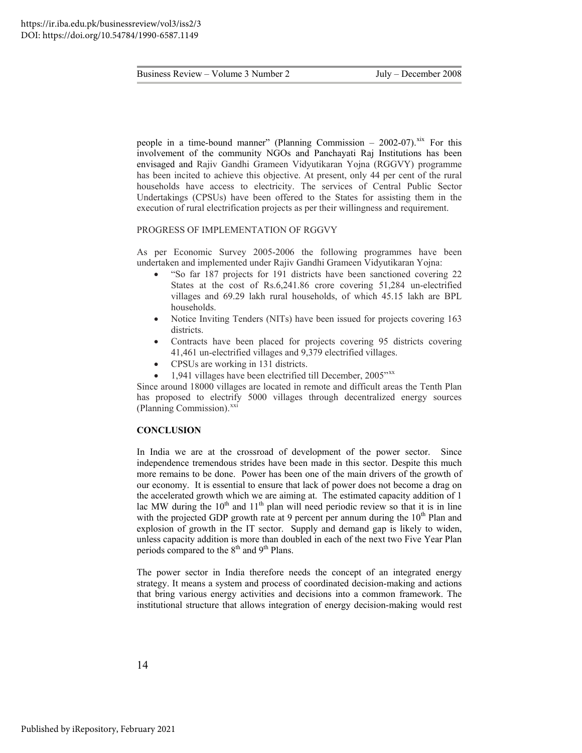people in a time-bound manner" (Planning Commission  $-2002-07$ ).<sup>[xix](#page-20-1)</sup> For this involvement of the community NGOs and Panchayati Raj Institutions has been envisaged and Rajiv Gandhi Grameen Vidyutikaran Yojna (RGGVY) programme has been incited to achieve this objective. At present, only 44 per cent of the rural households have access to electricity. The services of Central Public Sector Undertakings (CPSUs) have been offered to the States for assisting them in the execution of rural electrification projects as per their willingness and requirement.

#### PROGRESS OF IMPLEMENTATION OF RGGVY

As per Economic Survey 2005-2006 the following programmes have been undertaken and implemented under Rajiv Gandhi Grameen Vidyutikaran Yojna:

- "So far 187 projects for 191 districts have been sanctioned covering 22 States at the cost of Rs.6,241.86 crore covering 51,284 un-electrified villages and 69.29 lakh rural households, of which 45.15 lakh are BPL households.
- Notice Inviting Tenders (NITs) have been issued for projects covering 163 districts.
- Contracts have been placed for projects covering 95 districts covering 41,461 un-electrified villages and 9,379 electrified villages.
- CPSUs are working in 131 districts.
- 1,941 villages have been electrified till December, 2005"[xx](#page-20-1)

Since around 18000 villages are located in remote and difficult areas the Tenth Plan has proposed to electrify 5000 villages through decentralized energy sources (Planning Commission).<sup>[xxi](#page-20-1)</sup>

# **CONCLUSION**

In India we are at the crossroad of development of the power sector. Since independence tremendous strides have been made in this sector. Despite this much more remains to be done. Power has been one of the main drivers of the growth of our economy. It is essential to ensure that lack of power does not become a drag on the accelerated growth which we are aiming at. The estimated capacity addition of 1 lac MW during the  $10<sup>th</sup>$  and  $11<sup>th</sup>$  plan will need periodic review so that it is in line with the projected GDP growth rate at 9 percent per annum during the  $10<sup>th</sup>$  Plan and explosion of growth in the IT sector. Supply and demand gap is likely to widen, unless capacity addition is more than doubled in each of the next two Five Year Plan periods compared to the  $8<sup>th</sup>$  and  $9<sup>th</sup>$  Plans.

The power sector in India therefore needs the concept of an integrated energy strategy. It means a system and process of coordinated decision-making and actions that bring various energy activities and decisions into a common framework. The institutional structure that allows integration of energy decision-making would rest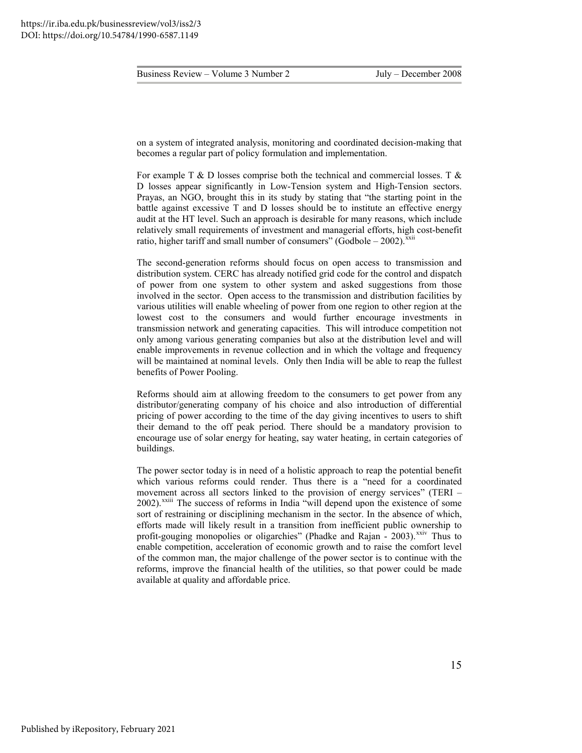on a system of integrated analysis, monitoring and coordinated decision-making that becomes a regular part of policy formulation and implementation.

For example T & D losses comprise both the technical and commercial losses. T & D losses appear significantly in Low-Tension system and High-Tension sectors. Prayas, an NGO, brought this in its study by stating that "the starting point in the battle against excessive T and D losses should be to institute an effective energy audit at the HT level. Such an approach is desirable for many reasons, which include relatively small requirements of investment and managerial efforts, high cost-benefit ratio, higher tariff and small number of consumers" (Godbole  $-2002$ ). $^{xxii}$  $^{xxii}$  $^{xxii}$ 

The second-generation reforms should focus on open access to transmission and distribution system. CERC has already notified grid code for the control and dispatch of power from one system to other system and asked suggestions from those involved in the sector. Open access to the transmission and distribution facilities by various utilities will enable wheeling of power from one region to other region at the lowest cost to the consumers and would further encourage investments in transmission network and generating capacities. This will introduce competition not only among various generating companies but also at the distribution level and will enable improvements in revenue collection and in which the voltage and frequency will be maintained at nominal levels. Only then India will be able to reap the fullest benefits of Power Pooling.

Reforms should aim at allowing freedom to the consumers to get power from any distributor/generating company of his choice and also introduction of differential pricing of power according to the time of the day giving incentives to users to shift their demand to the off peak period. There should be a mandatory provision to encourage use of solar energy for heating, say water heating, in certain categories of buildings.

The power sector today is in need of a holistic approach to reap the potential benefit which various reforms could render. Thus there is a "need for a coordinated movement across all sectors linked to the provision of energy services" (TERI – 2002).<sup>[xxiii](#page-21-0)</sup> The success of reforms in India "will depend upon the existence of some sort of restraining or disciplining mechanism in the sector. In the absence of which, efforts made will likely result in a transition from inefficient public ownership to profit-gouging monopolies or oligarchies" (Phadke and Rajan - 2003). $^{xxiv}$  $^{xxiv}$  $^{xxiv}$  Thus to enable competition, acceleration of economic growth and to raise the comfort level of the common man, the major challenge of the power sector is to continue with the reforms, improve the financial health of the utilities, so that power could be made available at quality and affordable price.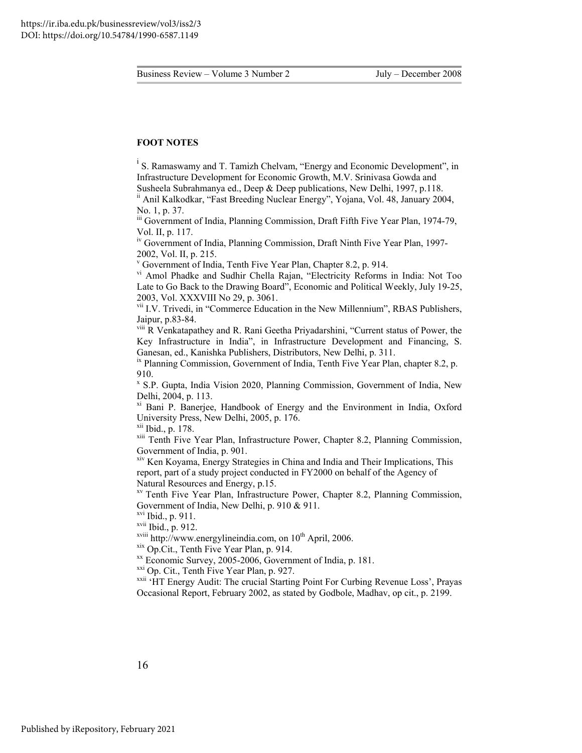## **FOOT NOTES**

<sup>i</sup> S. Ramaswamy and T. Tamizh Chelvam, "Energy and Economic Development", in Infrastructure Development for Economic Growth, M.V. Srinivasa Gowda and

Susheela Subrahmanya ed., Deep & Deep publications, New Delhi, 1997, p.118.<br>ii Anil Kalkodkar, "Fast Breeding Nuclear Energy", Yojana, Vol. 48, January 2004,

No. 1, p. 37.

iii Government of India, Planning Commission, Draft Fifth Five Year Plan, 1974-79, Vol. II, p. 117.

iv Government of India, Planning Commission, Draft Ninth Five Year Plan, 1997- 2002, Vol. II, p. 215.

v Government of India, Tenth Five Year Plan, Chapter 8.2, p. 914.

vi Amol Phadke and Sudhir Chella Rajan, "Electricity Reforms in India: Not Too Late to Go Back to the Drawing Board", Economic and Political Weekly, July 19-25, 2003, Vol. XXXVIII No 29, p. 3061.

vii I.V. Trivedi, in "Commerce Education in the New Millennium", RBAS Publishers, Jaipur, p.83-84.

viii R Venkatapathey and R. Rani Geetha Priyadarshini, "Current status of Power, the Key Infrastructure in India", in Infrastructure Development and Financing, S. Ganesan, ed., Kanishka Publishers, Distributors, New Delhi, p. 311.

 $\mu$ <sup>ix</sup> Planning Commission, Government of India, Tenth Five Year Plan, chapter 8.2, p. 910.

x S.P. Gupta, India Vision 2020, Planning Commission, Government of India, New Delhi, 2004, p. 113.

xi Bani P. Banerjee, Handbook of Energy and the Environment in India, Oxford University Press, New Delhi, 2005, p. 176.

xii Ibid., p. 178.

xiii Tenth Five Year Plan, Infrastructure Power, Chapter 8.2, Planning Commission, Government of India, p. 901.

xiv Ken Koyama, Energy Strategies in China and India and Their Implications, This report, part of a study project conducted in FY2000 on behalf of the Agency of Natural Resources and Energy, p.15.

xv Tenth Five Year Plan, Infrastructure Power, Chapter 8.2, Planning Commission, Government of India, New Delhi, p. 910 & 911.

 $xvi$  Ibid., p. 911.

<sup>xvii</sup> Ibid., p. 912.<br> $x^{\text{viii}}$  http://www.energylineindia.com, on  $10^{\text{th}}$  April, 2006.

xix Op.Cit., Tenth Five Year Plan, p. 914.<br>xx Economic Survey, 2005-2006, Government of India, p. 181. xxi Op. Cit., Tenth Five Year Plan, p. 927.

<sup>xxii</sup> 'HT Energy Audit: The crucial Starting Point For Curbing Revenue Loss', Prayas Occasional Report, February 2002, as stated by Godbole, Madhav, op cit., p. 2199.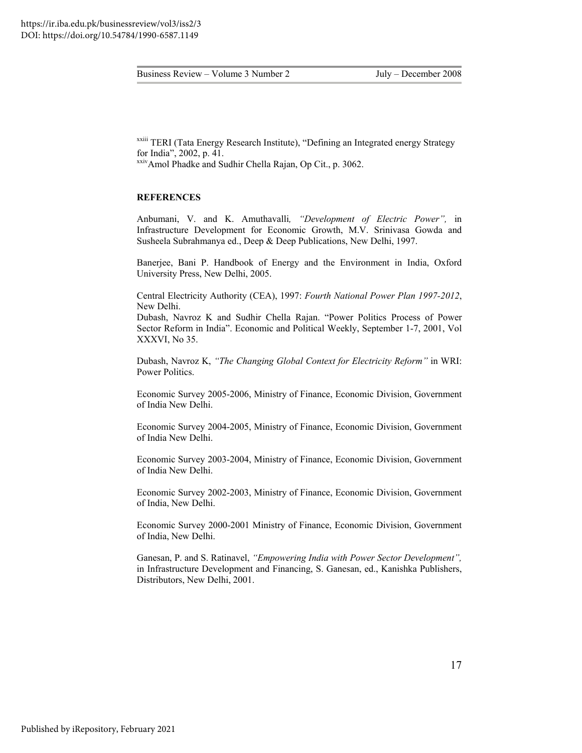xxiii TERI (Tata Energy Research Institute), "Defining an Integrated energy Strategy for India", 2002, p. 41.

xxivAmol Phadke and Sudhir Chella Rajan, Op Cit., p. 3062.

#### **REFERENCES**

Anbumani, V. and K. Amuthavalli*, "Development of Electric Power",* in Infrastructure Development for Economic Growth, M.V. Srinivasa Gowda and Susheela Subrahmanya ed., Deep & Deep Publications, New Delhi, 1997.

Banerjee, Bani P. Handbook of Energy and the Environment in India, Oxford University Press, New Delhi, 2005.

Central Electricity Authority (CEA), 1997: *Fourth National Power Plan 1997-2012*, New Delhi.

Dubash, Navroz K and Sudhir Chella Rajan. "Power Politics Process of Power Sector Reform in India". Economic and Political Weekly, September 1-7, 2001, Vol XXXVI, No 35.

Dubash, Navroz K, *"The Changing Global Context for Electricity Reform"* in WRI: Power Politics.

Economic Survey 2005-2006, Ministry of Finance, Economic Division, Government of India New Delhi.

Economic Survey 2004-2005, Ministry of Finance, Economic Division, Government of India New Delhi.

Economic Survey 2003-2004, Ministry of Finance, Economic Division, Government of India New Delhi.

Economic Survey 2002-2003, Ministry of Finance, Economic Division, Government of India, New Delhi.

Economic Survey 2000-2001 Ministry of Finance, Economic Division, Government of India, New Delhi.

Ganesan, P. and S. Ratinavel, *"Empowering India with Power Sector Development",* in Infrastructure Development and Financing, S. Ganesan, ed., Kanishka Publishers, Distributors, New Delhi, 2001.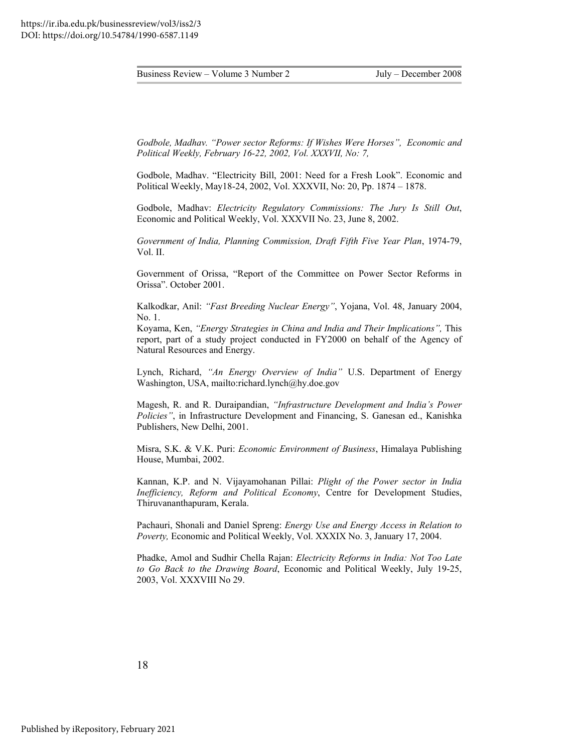*Godbole, Madhav. "Power sector Reforms: If Wishes Were Horses", Economic and Political Weekly, February 16-22, 2002, Vol. XXXVII, No: 7,* 

Godbole, Madhav. "Electricity Bill, 2001: Need for a Fresh Look". Economic and Political Weekly, May18-24, 2002, Vol. XXXVII, No: 20, Pp. 1874 – 1878.

Godbole, Madhav: *Electricity Regulatory Commissions: The Jury Is Still Out*, Economic and Political Weekly, Vol. XXXVII No. 23, June 8, 2002.

*Government of India, Planning Commission, Draft Fifth Five Year Plan*, 1974-79, Vol. II.

Government of Orissa, "Report of the Committee on Power Sector Reforms in Orissa". October 2001.

Kalkodkar, Anil: *"Fast Breeding Nuclear Energy"*, Yojana, Vol. 48, January 2004, No. 1.

Koyama, Ken, *"Energy Strategies in China and India and Their Implications",* This report, part of a study project conducted in FY2000 on behalf of the Agency of Natural Resources and Energy.

Lynch, Richard, *"An Energy Overview of India"* U.S. Department of Energy Washington, USA, mailto:richard.lynch@hy.doe.gov

Magesh, R. and R. Duraipandian, *"Infrastructure Development and India's Power Policies"*, in Infrastructure Development and Financing, S. Ganesan ed., Kanishka Publishers, New Delhi, 2001.

Misra, S.K. & V.K. Puri: *Economic Environment of Business*, Himalaya Publishing House, Mumbai, 2002.

Kannan, K.P. and N. Vijayamohanan Pillai: *Plight of the Power sector in India Inefficiency, Reform and Political Economy*, Centre for Development Studies, Thiruvananthapuram, Kerala.

Pachauri, Shonali and Daniel Spreng: *Energy Use and Energy Access in Relation to Poverty,* Economic and Political Weekly, Vol. XXXIX No. 3, January 17, 2004.

Phadke, Amol and Sudhir Chella Rajan: *Electricity Reforms in India: Not Too Late to Go Back to the Drawing Board*, Economic and Political Weekly, July 19-25, 2003, Vol. XXXVIII No 29.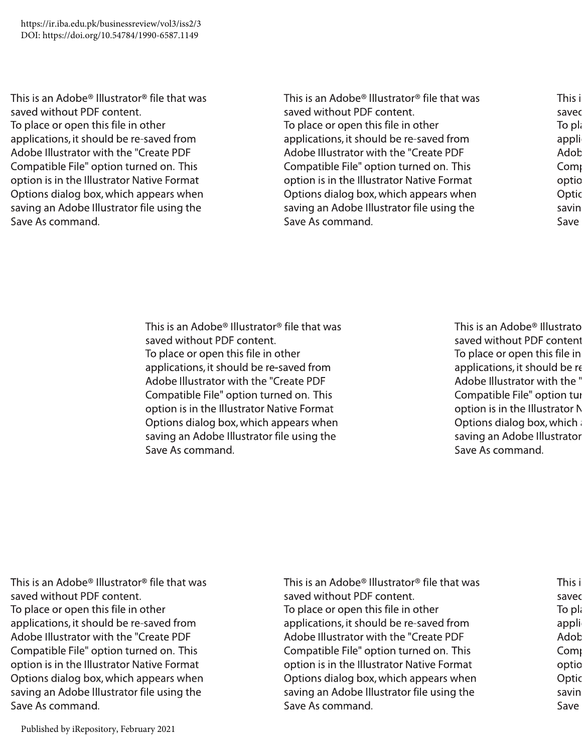This is an Adobe<sup>®</sup> Illustrator<sup>®</sup> file that was saved without PDF content. To place or open this file in other applications, it should be re-saved from Adobe Illustrator with the "Create PDF Compatible File" option turned on. This option is in the Illustrator Native Format Options dialog box, which appears when saving an Adobe Illustrator file using the Save As command.

This is an Adobe® Illustrator® file that was saved without PDF content. To place or open this file in other applications, it should be re-saved from Adobe Illustrator with the "Create PDF Compatible File" option turned on. This option is in the Illustrator Native Format Options dialog box, which appears when saving an Adobe Illustrator file using the Save As command.

This i saved To pla appli Adob Com optic Optio savin Save

This is an Adobe<sup>®</sup> Illustrator<sup>®</sup> file that was saved without PDF content. To place or open this file in other applications, it should be re-saved from Adobe Illustrator with the "Create PDF Compatible File" option turned on. This option is in the Illustrator Native Format Options dialog box, which appears when saving an Adobe Illustrator file using the Save As command.

This is an Adobe® Illustrato saved without PDF content To place or open this file in applications, it should be re Adobe Illustrator with the ' Compatible File" option tur option is in the Illustrator N Options dialog box, which saving an Adobe Illustrator Save As command.

This is an Adobe® Illustrator® file that was saved without PDF content. To place or open this file in other applications, it should be re-saved from Adobe Illustrator with the "Create PDF Compatible File" option turned on. This option is in the Illustrator Native Format Options dialog box, which appears when saving an Adobe Illustrator file using the Save As command.

This is an Adobe® Illustrator® file that was saved without PDF content. To place or open this file in other applications, it should be re-saved from Adobe Illustrator with the "Create PDF Compatible File" option turned on. This option is in the Illustrator Native Format Options dialog box, which appears when saving an Adobe Illustrator file using the Save As command.

This i saved To pla appli Adob Com optic Optio savin Save

Published by iRepository, February 2021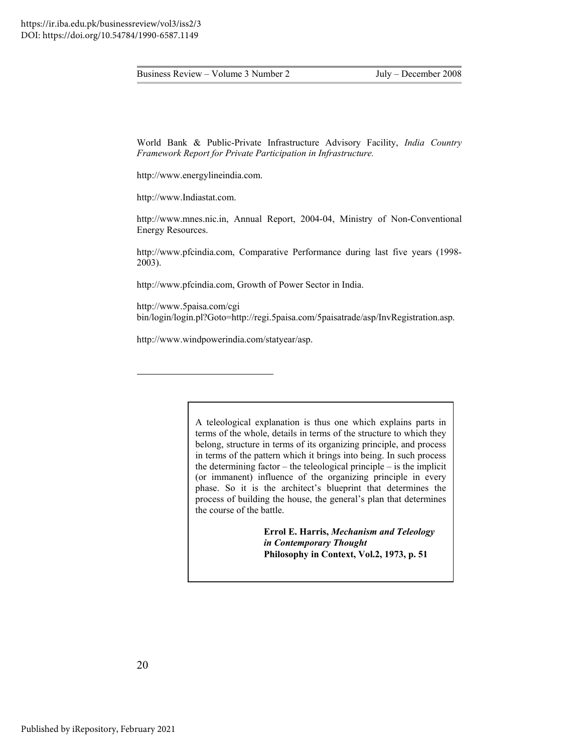<span id="page-20-1"></span>World Bank & Public-Private Infrastructure Advisory Facility, *India Country Framework Report for Private Participation in Infrastructure.*

http://www.energylineindia.com.

http://www.Indiastat.com.

[http://www.mnes.nic.in](http://www.mnes.nic.in/), Annual Report, 2004-04, Ministry of Non-Conventional Energy Resources.

http://www.pfcindia.com, Comparative Performance during last five years (1998- 2003).

http://www.pfcindia.com, Growth of Power Sector in India.

[http://www.5paisa.com/cgi](http://www.5paisa.com/cgi%20bin/login/login.pl?Goto=http://regi.5paisa.com/5paisatrade/asp/InvRegistration.asp)  [bin/login/login.pl?Goto=http://regi.5paisa.com/5paisatrade/asp/InvRegistration.asp](http://www.5paisa.com/cgi%20bin/login/login.pl?Goto=http://regi.5paisa.com/5paisatrade/asp/InvRegistration.asp).

[http://www.windpowerindia.com/statyear/asp.](http://www.windpowerindia.com/statyear/asp)

A teleological explanation is thus one which explains parts in terms of the whole, details in terms of the structure to which they belong, structure in terms of its organizing principle, and process in terms of the pattern which it brings into being. In such process the determining factor – the teleological principle – is the implicit (or immanent) influence of the organizing principle in every phase. So it is the architect's blueprint that determines the process of building the house, the general's plan that determines the course of the battle.

> **Errol E. Harris,** *Mechanism and Teleology in Contemporary Thought* **Philosophy in Context, Vol.2, 1973, p. 51**

<span id="page-20-0"></span> $\overline{a}$